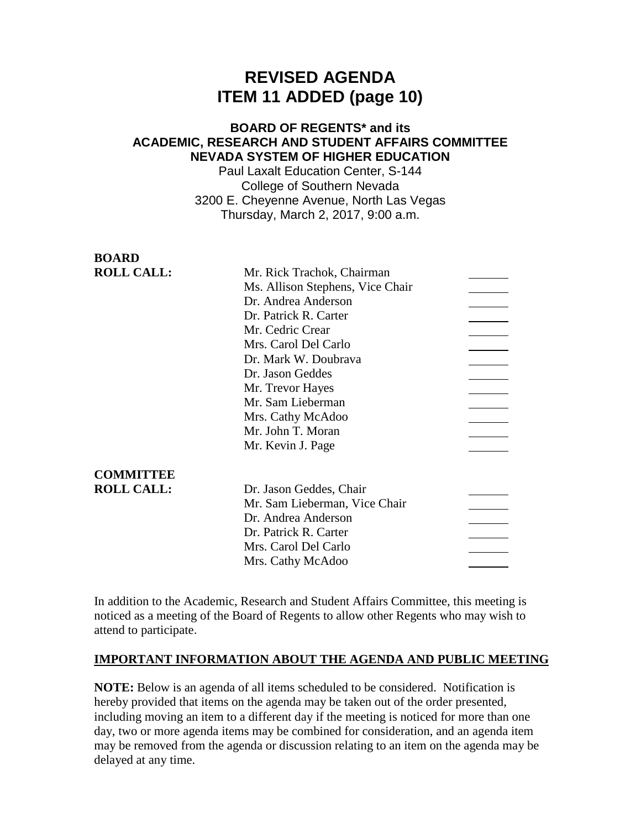# **REVISED AGENDA ITEM 11 ADDED (page 10)**

## **BOARD OF REGENTS\* and its ACADEMIC, RESEARCH AND STUDENT AFFAIRS COMMITTEE NEVADA SYSTEM OF HIGHER EDUCATION**

Paul Laxalt Education Center, S-144 College of Southern Nevada 3200 E. Cheyenne Avenue, North Las Vegas Thursday, March 2, 2017, 9:00 a.m.

**BOARD**

| DVAND             |                                  |  |
|-------------------|----------------------------------|--|
| <b>ROLL CALL:</b> | Mr. Rick Trachok, Chairman       |  |
|                   | Ms. Allison Stephens, Vice Chair |  |
|                   | Dr. Andrea Anderson              |  |
|                   | Dr. Patrick R. Carter            |  |
|                   | Mr. Cedric Crear                 |  |
|                   | Mrs. Carol Del Carlo             |  |
|                   | Dr. Mark W. Doubrava             |  |
|                   | Dr. Jason Geddes                 |  |
|                   | Mr. Trevor Hayes                 |  |
|                   | Mr. Sam Lieberman                |  |
|                   | Mrs. Cathy McAdoo                |  |
|                   | Mr. John T. Moran                |  |
|                   | Mr. Kevin J. Page                |  |
| <b>COMMITTEE</b>  |                                  |  |
| <b>ROLL CALL:</b> | Dr. Jason Geddes, Chair          |  |
|                   | Mr. Sam Lieberman, Vice Chair    |  |
|                   | Dr. Andrea Anderson              |  |
|                   | Dr. Patrick R. Carter            |  |
|                   | Mrs. Carol Del Carlo             |  |
|                   | Mrs. Cathy McAdoo                |  |
|                   |                                  |  |

In addition to the Academic, Research and Student Affairs Committee, this meeting is noticed as a meeting of the Board of Regents to allow other Regents who may wish to attend to participate.

### **IMPORTANT INFORMATION ABOUT THE AGENDA AND PUBLIC MEETING**

**NOTE:** Below is an agenda of all items scheduled to be considered. Notification is hereby provided that items on the agenda may be taken out of the order presented, including moving an item to a different day if the meeting is noticed for more than one day, two or more agenda items may be combined for consideration, and an agenda item may be removed from the agenda or discussion relating to an item on the agenda may be delayed at any time.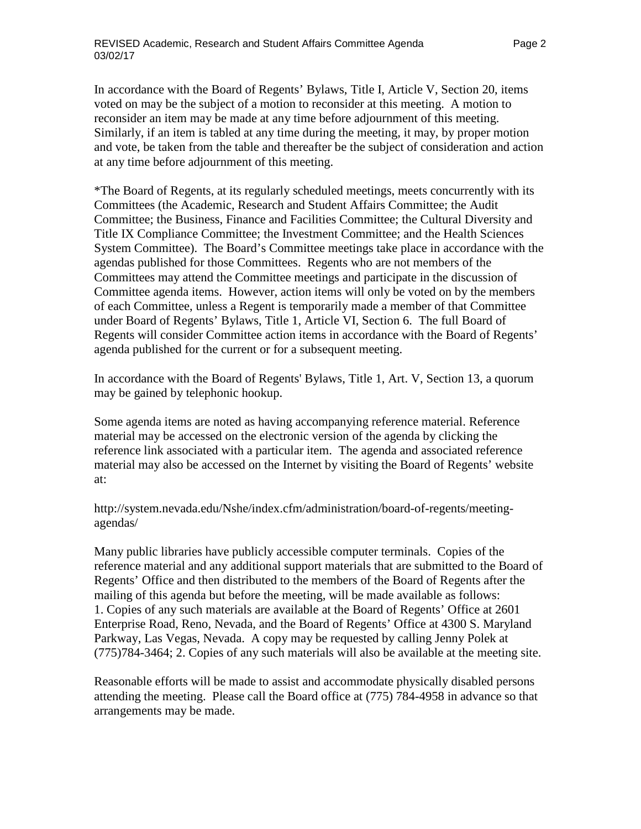In accordance with the Board of Regents' Bylaws, Title I, Article V, Section 20, items voted on may be the subject of a motion to reconsider at this meeting. A motion to reconsider an item may be made at any time before adjournment of this meeting. Similarly, if an item is tabled at any time during the meeting, it may, by proper motion and vote, be taken from the table and thereafter be the subject of consideration and action at any time before adjournment of this meeting.

\*The Board of Regents, at its regularly scheduled meetings, meets concurrently with its Committees (the Academic, Research and Student Affairs Committee; the Audit Committee; the Business, Finance and Facilities Committee; the Cultural Diversity and Title IX Compliance Committee; the Investment Committee; and the Health Sciences System Committee). The Board's Committee meetings take place in accordance with the agendas published for those Committees. Regents who are not members of the Committees may attend the Committee meetings and participate in the discussion of Committee agenda items. However, action items will only be voted on by the members of each Committee, unless a Regent is temporarily made a member of that Committee under Board of Regents' Bylaws, Title 1, Article VI, Section 6. The full Board of Regents will consider Committee action items in accordance with the Board of Regents' agenda published for the current or for a subsequent meeting.

In accordance with the Board of Regents' Bylaws, Title 1, Art. V, Section 13, a quorum may be gained by telephonic hookup.

Some agenda items are noted as having accompanying reference material. Reference material may be accessed on the electronic version of the agenda by clicking the reference link associated with a particular item. The agenda and associated reference material may also be accessed on the Internet by visiting the Board of Regents' website at:

http://system.nevada.edu/Nshe/index.cfm/administration/board-of-regents/meetingagendas/

Many public libraries have publicly accessible computer terminals. Copies of the reference material and any additional support materials that are submitted to the Board of Regents' Office and then distributed to the members of the Board of Regents after the mailing of this agenda but before the meeting, will be made available as follows: 1. Copies of any such materials are available at the Board of Regents' Office at 2601 Enterprise Road, Reno, Nevada, and the Board of Regents' Office at 4300 S. Maryland Parkway, Las Vegas, Nevada. A copy may be requested by calling Jenny Polek at (775)784-3464; 2. Copies of any such materials will also be available at the meeting site.

Reasonable efforts will be made to assist and accommodate physically disabled persons attending the meeting. Please call the Board office at (775) 784-4958 in advance so that arrangements may be made.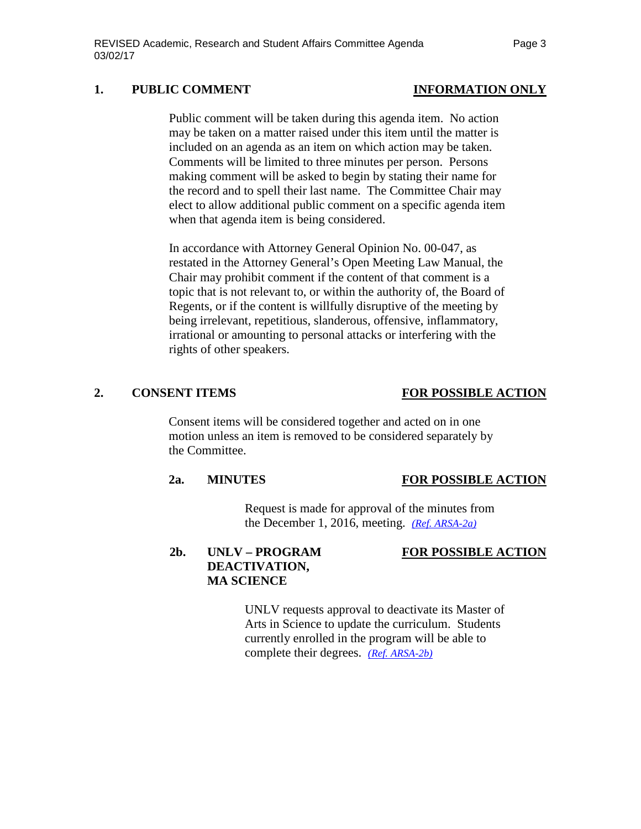### 1. PUBLIC COMMENT **INFORMATION** ONLY

Public comment will be taken during this agenda item. No action may be taken on a matter raised under this item until the matter is included on an agenda as an item on which action may be taken. Comments will be limited to three minutes per person. Persons making comment will be asked to begin by stating their name for the record and to spell their last name. The Committee Chair may elect to allow additional public comment on a specific agenda item when that agenda item is being considered.

In accordance with Attorney General Opinion No. 00-047, as restated in the Attorney General's Open Meeting Law Manual, the Chair may prohibit comment if the content of that comment is a topic that is not relevant to, or within the authority of, the Board of Regents, or if the content is willfully disruptive of the meeting by being irrelevant, repetitious, slanderous, offensive, inflammatory, irrational or amounting to personal attacks or interfering with the rights of other speakers.

### **2. CONSENT ITEMS FOR POSSIBLE ACTION**

Consent items will be considered together and acted on in one motion unless an item is removed to be considered separately by the Committee.

### **2a. MINUTES FOR POSSIBLE ACTION**

Request is made for approval of the minutes from the December 1, 2016, meeting. *[\(Ref. ARSA-2a\)](http://system.nevada.edu/tasks/sites/Nshe/assets/File/BoardOfRegents/Agendas/2017/mar-mtgs/arsa-refs/ARSA-2a.pdf)*

# **2b. UNLV – PROGRAM FOR POSSIBLE ACTION DEACTIVATION, MA SCIENCE**

UNLV requests approval to deactivate its Master of Arts in Science to update the curriculum. Students currently enrolled in the program will be able to complete their degrees. *(Ref. [ARSA-2b\)](http://system.nevada.edu/tasks/sites/Nshe/assets/File/BoardOfRegents/Agendas/2017/mar-mtgs/arsa-refs/ARSA-2b.pdf)*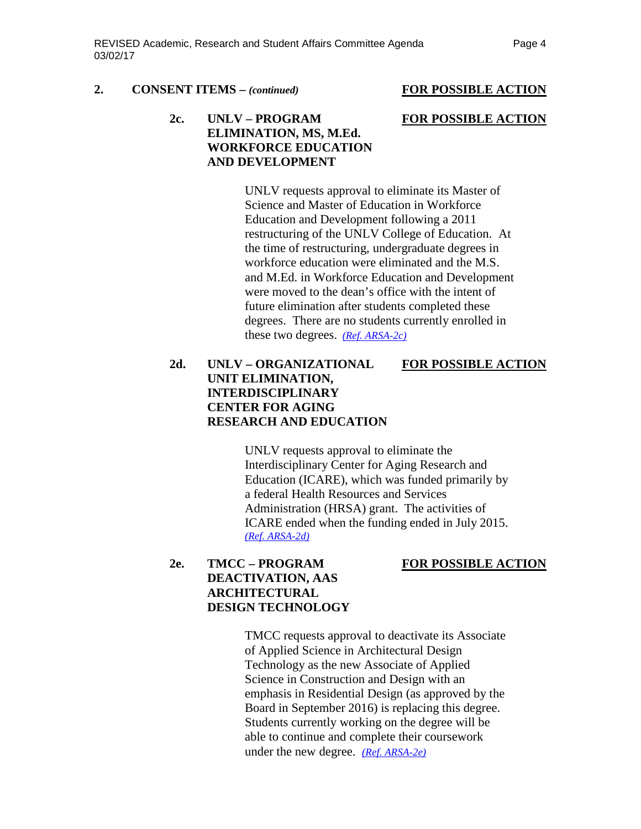### **2. CONSENT ITEMS –** *(continued)* **FOR POSSIBLE ACTION**

# **2c. UNLV – PROGRAM FOR POSSIBLE ACTION**

# **ELIMINATION, MS, M.Ed. WORKFORCE EDUCATION AND DEVELOPMENT**

UNLV requests approval to eliminate its Master of Science and Master of Education in Workforce Education and Development following a 2011 restructuring of the UNLV College of Education. At the time of restructuring, undergraduate degrees in workforce education were eliminated and the M.S. and M.Ed. in Workforce Education and Development were moved to the dean's office with the intent of future elimination after students completed these degrees. There are no students currently enrolled in these two degrees. *(Ref. [ARSA-2c\)](http://system.nevada.edu/tasks/sites/Nshe/assets/File/BoardOfRegents/Agendas/2017/mar-mtgs/arsa-refs/ARSA-2c.pdf)*

# **2d. UNLV – ORGANIZATIONAL FOR POSSIBLE ACTION UNIT ELIMINATION, INTERDISCIPLINARY CENTER FOR AGING RESEARCH AND EDUCATION**

UNLV requests approval to eliminate the Interdisciplinary Center for Aging Research and Education (ICARE), which was funded primarily by a federal Health Resources and Services Administration (HRSA) grant. The activities of ICARE ended when the funding ended in July 2015. *(Ref. [ARSA-2d\)](http://system.nevada.edu/tasks/sites/Nshe/assets/File/BoardOfRegents/Agendas/2017/mar-mtgs/arsa-refs/ARSA-2d.pdf)*

### **2e. TMCC – PROGRAM FOR POSSIBLE ACTION**

# **DEACTIVATION, AAS ARCHITECTURAL DESIGN TECHNOLOGY**

TMCC requests approval to deactivate its Associate of Applied Science in Architectural Design Technology as the new Associate of Applied Science in Construction and Design with an emphasis in Residential Design (as approved by the Board in September 2016) is replacing this degree. Students currently working on the degree will be able to continue and complete their coursework under the new degree. *(Ref. [ARSA-2e\)](http://system.nevada.edu/tasks/sites/Nshe/assets/File/BoardOfRegents/Agendas/2017/mar-mtgs/arsa-refs/ARSA-2e.pdf)*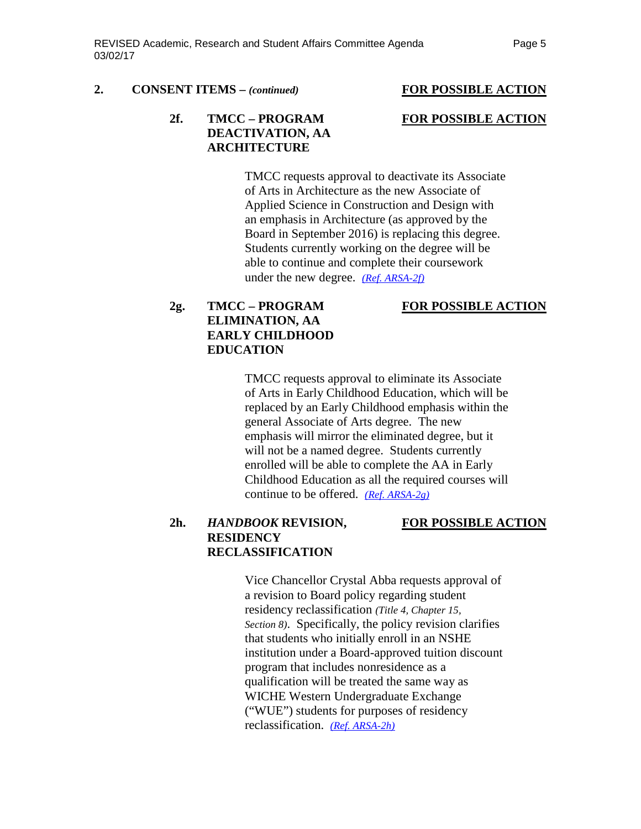### **2. CONSENT ITEMS –** *(continued)* **FOR POSSIBLE ACTION**

### **2f. TMCC – PROGRAM FOR POSSIBLE ACTION DEACTIVATION, AA ARCHITECTURE**

TMCC requests approval to deactivate its Associate of Arts in Architecture as the new Associate of Applied Science in Construction and Design with an emphasis in Architecture (as approved by the Board in September 2016) is replacing this degree. Students currently working on the degree will be able to continue and complete their coursework under the new degree. *(Ref. [ARSA-2f\)](http://system.nevada.edu/tasks/sites/Nshe/assets/File/BoardOfRegents/Agendas/2017/mar-mtgs/arsa-refs/ARSA-2f.pdf)*

### **2g. TMCC – PROGRAM FOR POSSIBLE ACTION**

# **ELIMINATION, AA EARLY CHILDHOOD EDUCATION**

TMCC requests approval to eliminate its Associate of Arts in Early Childhood Education, which will be replaced by an Early Childhood emphasis within the general Associate of Arts degree. The new emphasis will mirror the eliminated degree, but it will not be a named degree. Students currently enrolled will be able to complete the AA in Early Childhood Education as all the required courses will continue to be offered. *(Ref. [ARSA-2g\)](http://system.nevada.edu/tasks/sites/Nshe/assets/File/BoardOfRegents/Agendas/2017/mar-mtgs/arsa-refs/ARSA-2g.pdf)*

### **2h.** *HANDBOOK* **REVISION, FOR POSSIBLE ACTION RESIDENCY RECLASSIFICATION**

Vice Chancellor Crystal Abba requests approval of a revision to Board policy regarding student residency reclassification *(Title 4, Chapter 15, Section 8)*. Specifically, the policy revision clarifies that students who initially enroll in an NSHE institution under a Board-approved tuition discount program that includes nonresidence as a qualification will be treated the same way as WICHE Western Undergraduate Exchange ("WUE") students for purposes of residency reclassification. *[\(Ref. ARSA-2h\)](http://system.nevada.edu/tasks/sites/Nshe/assets/File/BoardOfRegents/Agendas/2017/mar-mtgs/arsa-refs/ARSA-2h.pdf)*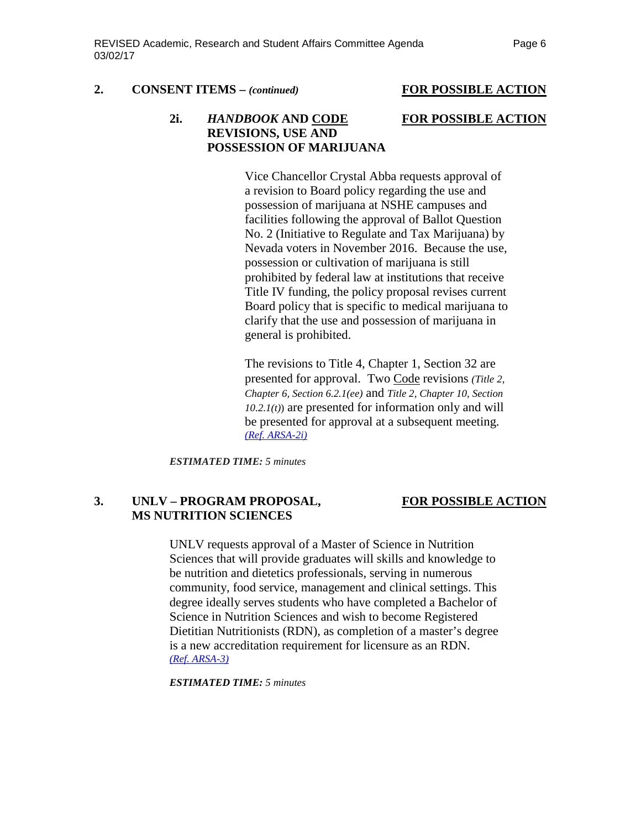### **2. CONSENT ITEMS –** *(continued)* **FOR POSSIBLE ACTION**

### **2i.** *HANDBOOK* **AND CODE FOR POSSIBLE ACTION REVISIONS, USE AND POSSESSION OF MARIJUANA**

Vice Chancellor Crystal Abba requests approval of a revision to Board policy regarding the use and possession of marijuana at NSHE campuses and facilities following the approval of Ballot Question No. 2 (Initiative to Regulate and Tax Marijuana) by Nevada voters in November 2016. Because the use, possession or cultivation of marijuana is still prohibited by federal law at institutions that receive Title IV funding, the policy proposal revises current Board policy that is specific to medical marijuana to clarify that the use and possession of marijuana in general is prohibited.

The revisions to Title 4, Chapter 1, Section 32 are presented for approval. Two Code revisions *(Title 2, Chapter 6, Section 6.2.1(ee)* and *Title 2, Chapter 10, Section 10.2.1(t)*) are presented for information only and will be presented for approval at a subsequent meeting. *[\(Ref. ARSA-2i\)](http://system.nevada.edu/tasks/sites/Nshe/assets/File/BoardOfRegents/Agendas/2017/mar-mtgs/arsa-refs/ARSA-2i.pdf)*

*ESTIMATED TIME: 5 minutes*

### **3. UNLV – PROGRAM PROPOSAL, FOR POSSIBLE ACTION MS NUTRITION SCIENCES**

UNLV requests approval of a Master of Science in Nutrition Sciences that will provide graduates will skills and knowledge to be nutrition and dietetics professionals, serving in numerous community, food service, management and clinical settings. This degree ideally serves students who have completed a Bachelor of Science in Nutrition Sciences and wish to become Registered Dietitian Nutritionists (RDN), as completion of a master's degree is a new accreditation requirement for licensure as an RDN. *(Ref. [ARSA-3\)](http://system.nevada.edu/tasks/sites/Nshe/assets/File/BoardOfRegents/Agendas/2017/mar-mtgs/arsa-refs/ARSA-3.pdf)* 

*ESTIMATED TIME: 5 minutes*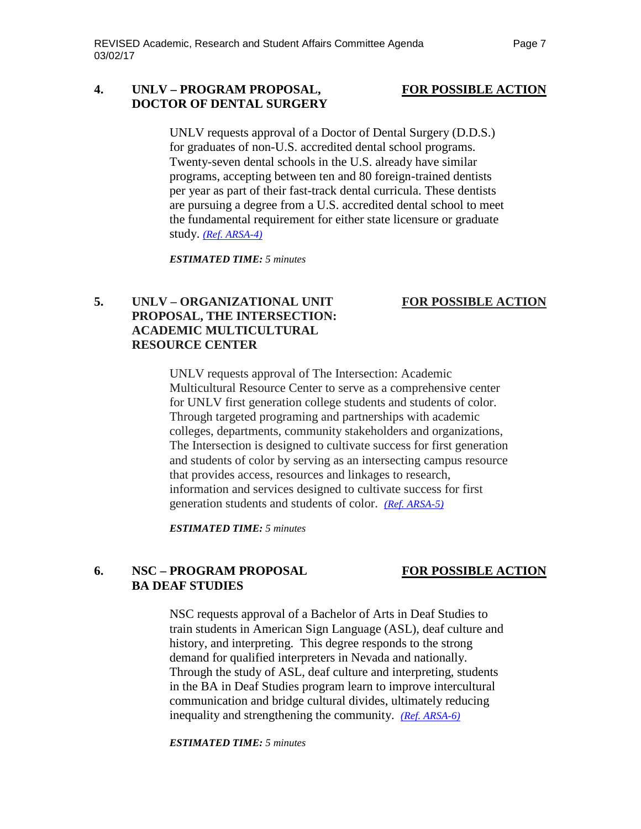### **4. UNLV – PROGRAM PROPOSAL, FOR POSSIBLE ACTION DOCTOR OF DENTAL SURGERY**

UNLV requests approval of a Doctor of Dental Surgery (D.D.S.) for graduates of non-U.S. accredited dental school programs. Twenty-seven dental schools in the U.S. already have similar programs, accepting between ten and 80 foreign-trained dentists per year as part of their fast-track dental curricula. These dentists are pursuing a degree from a U.S. accredited dental school to meet the fundamental requirement for either state licensure or graduate study. *(Ref. [ARSA-4\)](http://system.nevada.edu/tasks/sites/Nshe/assets/File/BoardOfRegents/Agendas/2017/mar-mtgs/arsa-refs/ARSA-4.pdf)* 

*ESTIMATED TIME: 5 minutes*

## **5. UNLV – ORGANIZATIONAL UNIT FOR POSSIBLE ACTION PROPOSAL, THE INTERSECTION: ACADEMIC MULTICULTURAL RESOURCE CENTER**

UNLV requests approval of The Intersection: Academic Multicultural Resource Center to serve as a comprehensive center for UNLV first generation college students and students of color. Through targeted programing and partnerships with academic colleges, departments, community stakeholders and organizations, The Intersection is designed to cultivate success for first generation and students of color by serving as an intersecting campus resource that provides access, resources and linkages to research, information and services designed to cultivate success for first generation students and students of color. *[\(Ref. ARSA-5\)](http://system.nevada.edu/tasks/sites/Nshe/assets/File/BoardOfRegents/Agendas/2017/mar-mtgs/arsa-refs/ARSA-5.pdf)*

*ESTIMATED TIME: 5 minutes*

# **6. NSC – PROGRAM PROPOSAL FOR POSSIBLE ACTION BA DEAF STUDIES**

NSC requests approval of a Bachelor of Arts in Deaf Studies to train students in American Sign Language (ASL), deaf culture and history, and interpreting. This degree responds to the strong demand for qualified interpreters in Nevada and nationally. Through the study of ASL, deaf culture and interpreting, students in the BA in Deaf Studies program learn to improve intercultural communication and bridge cultural divides, ultimately reducing inequality and strengthening the community. *[\(Ref. ARSA-6\)](http://system.nevada.edu/tasks/sites/Nshe/assets/File/BoardOfRegents/Agendas/2017/mar-mtgs/arsa-refs/ARSA-6.pdf)*

*ESTIMATED TIME: 5 minutes*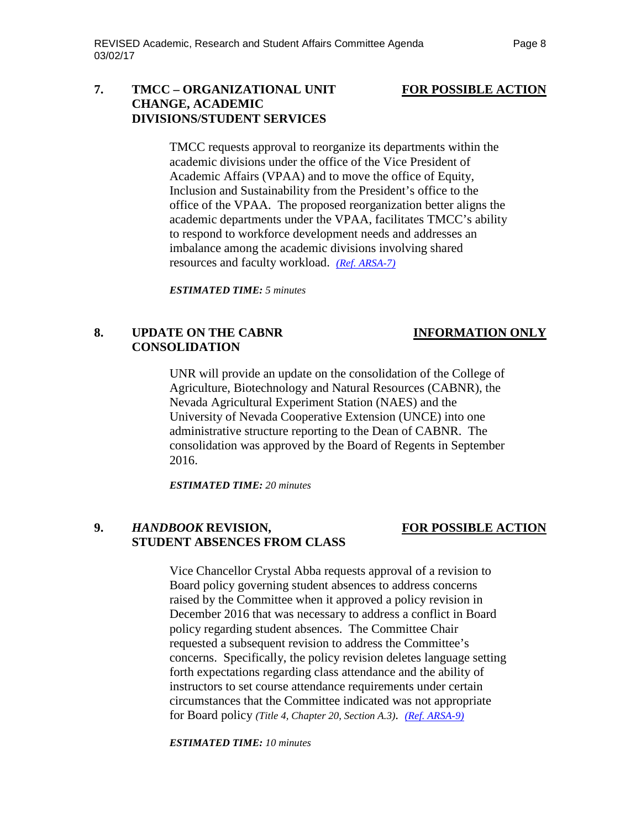### **7. TMCC – ORGANIZATIONAL UNIT FOR POSSIBLE ACTION CHANGE, ACADEMIC DIVISIONS/STUDENT SERVICES**

TMCC requests approval to reorganize its departments within the academic divisions under the office of the Vice President of Academic Affairs (VPAA) and to move the office of Equity, Inclusion and Sustainability from the President's office to the office of the VPAA. The proposed reorganization better aligns the academic departments under the VPAA, facilitates TMCC's ability to respond to workforce development needs and addresses an imbalance among the academic divisions involving shared resources and faculty workload. *[\(Ref. ARSA-7\)](http://system.nevada.edu/tasks/sites/Nshe/assets/File/BoardOfRegents/Agendas/2017/mar-mtgs/arsa-refs/ARSA-7.pdf)*

*ESTIMATED TIME: 5 minutes*

# **8. UPDATE ON THE CABNR INFORMATION ONLY CONSOLIDATION**

UNR will provide an update on the consolidation of the College of Agriculture, Biotechnology and Natural Resources (CABNR), the Nevada Agricultural Experiment Station (NAES) and the University of Nevada Cooperative Extension (UNCE) into one administrative structure reporting to the Dean of CABNR. The consolidation was approved by the Board of Regents in September 2016.

*ESTIMATED TIME: 20 minutes*

## **9.** *HANDBOOK* **REVISION, FOR POSSIBLE ACTION STUDENT ABSENCES FROM CLASS**

Vice Chancellor Crystal Abba requests approval of a revision to Board policy governing student absences to address concerns raised by the Committee when it approved a policy revision in December 2016 that was necessary to address a conflict in Board policy regarding student absences. The Committee Chair requested a subsequent revision to address the Committee's concerns. Specifically, the policy revision deletes language setting forth expectations regarding class attendance and the ability of instructors to set course attendance requirements under certain circumstances that the Committee indicated was not appropriate for Board policy *(Title 4, Chapter 20, Section A.3)*. *(Ref. [ARSA-9\)](http://system.nevada.edu/tasks/sites/Nshe/assets/File/BoardOfRegents/Agendas/2017/mar-mtgs/arsa-refs/ARSA-9.pdf)*

*ESTIMATED TIME: 10 minutes*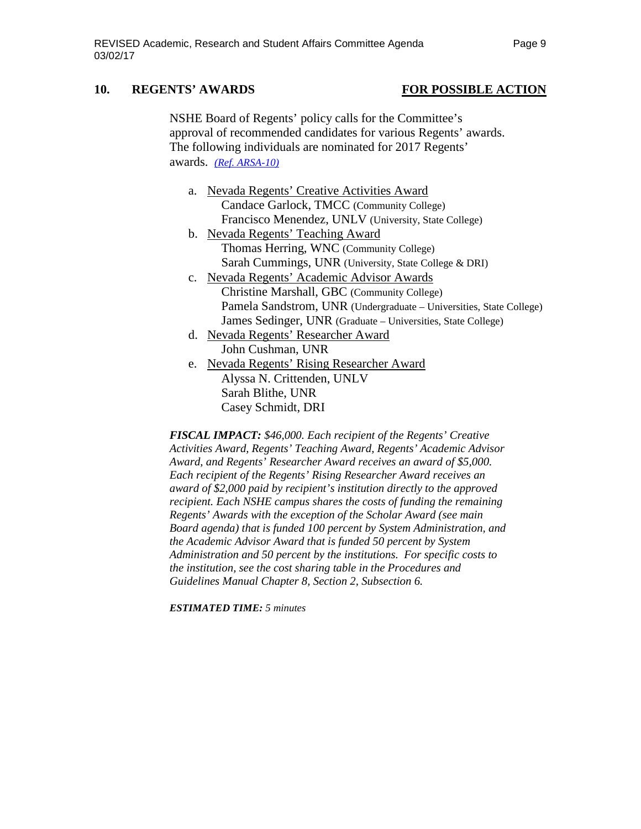## **10. REGENTS' AWARDS FOR POSSIBLE ACTION**

NSHE Board of Regents' policy calls for the Committee's approval of recommended candidates for various Regents' awards. The following individuals are nominated for 2017 Regents' awards. *(Ref. [ARSA-10\)](http://system.nevada.edu/tasks/sites/Nshe/assets/File/BoardOfRegents/Agendas/2017/mar-mtgs/arsa-refs/ARSA-10.pdf)*

- a. Nevada Regents' Creative Activities Award Candace Garlock, TMCC (Community College) Francisco Menendez, UNLV (University, State College)
- b. Nevada Regents' Teaching Award Thomas Herring, WNC (Community College) Sarah Cummings, UNR (University, State College & DRI)
- c. Nevada Regents' Academic Advisor Awards Christine Marshall, GBC (Community College) Pamela Sandstrom, UNR (Undergraduate – Universities, State College) James Sedinger, UNR (Graduate – Universities, State College)
- d. Nevada Regents' Researcher Award John Cushman, UNR
- e. Nevada Regents' Rising Researcher Award Alyssa N. Crittenden, UNLV Sarah Blithe, UNR Casey Schmidt, DRI

*FISCAL IMPACT: \$46,000. Each recipient of the Regents' Creative Activities Award, Regents' Teaching Award, Regents' Academic Advisor Award, and Regents' Researcher Award receives an award of \$5,000. Each recipient of the Regents' Rising Researcher Award receives an award of \$2,000 paid by recipient's institution directly to the approved recipient. Each NSHE campus shares the costs of funding the remaining Regents' Awards with the exception of the Scholar Award (see main Board agenda) that is funded 100 percent by System Administration, and the Academic Advisor Award that is funded 50 percent by System Administration and 50 percent by the institutions. For specific costs to the institution, see the cost sharing table in the Procedures and Guidelines Manual Chapter 8, Section 2, Subsection 6.*

*ESTIMATED TIME: 5 minutes*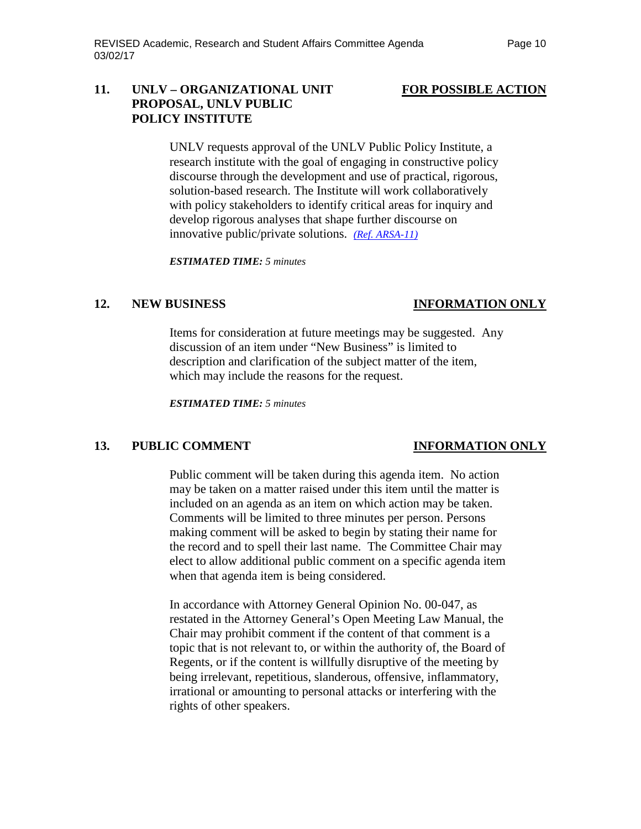### **11. UNLV – ORGANIZATIONAL UNIT FOR POSSIBLE ACTION PROPOSAL, UNLV PUBLIC POLICY INSTITUTE**

UNLV requests approval of the UNLV Public Policy Institute, a research institute with the goal of engaging in constructive policy discourse through the development and use of practical, rigorous, solution-based research. The Institute will work collaboratively with policy stakeholders to identify critical areas for inquiry and develop rigorous analyses that shape further discourse on innovative public/private solutions. *(Ref. [ARSA-11\)](http://system.nevada.edu/tasks/sites/Nshe/assets/File/BoardOfRegents/Agendas/2017/mar-mtgs/arsa-refs/ARSA-11.pdf)*

*ESTIMATED TIME: 5 minutes*

## **12. NEW BUSINESS INFORMATION ONLY**

Items for consideration at future meetings may be suggested. Any discussion of an item under "New Business" is limited to description and clarification of the subject matter of the item, which may include the reasons for the request.

*ESTIMATED TIME: 5 minutes*

### **13. PUBLIC COMMENT INFORMATION ONLY**

Public comment will be taken during this agenda item. No action may be taken on a matter raised under this item until the matter is included on an agenda as an item on which action may be taken. Comments will be limited to three minutes per person. Persons making comment will be asked to begin by stating their name for the record and to spell their last name. The Committee Chair may elect to allow additional public comment on a specific agenda item when that agenda item is being considered.

In accordance with Attorney General Opinion No. 00-047, as restated in the Attorney General's Open Meeting Law Manual, the Chair may prohibit comment if the content of that comment is a topic that is not relevant to, or within the authority of, the Board of Regents, or if the content is willfully disruptive of the meeting by being irrelevant, repetitious, slanderous, offensive, inflammatory, irrational or amounting to personal attacks or interfering with the rights of other speakers.